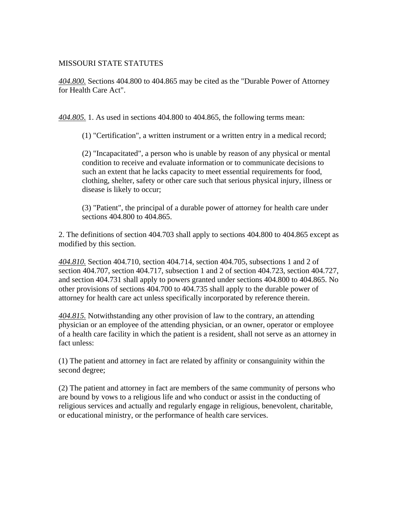## MISSOURI STATE STATUTES

*404.800.* Sections 404.800 to 404.865 may be cited as the "Durable Power of Attorney for Health Care Act".

*404.805.* 1. As used in sections 404.800 to 404.865, the following terms mean:

(1) "Certification", a written instrument or a written entry in a medical record;

(2) "Incapacitated", a person who is unable by reason of any physical or mental condition to receive and evaluate information or to communicate decisions to such an extent that he lacks capacity to meet essential requirements for food, clothing, shelter, safety or other care such that serious physical injury, illness or disease is likely to occur;

(3) "Patient", the principal of a durable power of attorney for health care under sections 404.800 to 404.865.

2. The definitions of section 404.703 shall apply to sections 404.800 to 404.865 except as modified by this section.

*404.810.* Section 404.710, section 404.714, section 404.705, subsections 1 and 2 of section 404.707, section 404.717, subsection 1 and 2 of section 404.723, section 404.727, and section 404.731 shall apply to powers granted under sections 404.800 to 404.865. No other provisions of sections 404.700 to 404.735 shall apply to the durable power of attorney for health care act unless specifically incorporated by reference therein.

*404.815.* Notwithstanding any other provision of law to the contrary, an attending physician or an employee of the attending physician, or an owner, operator or employee of a health care facility in which the patient is a resident, shall not serve as an attorney in fact unless:

(1) The patient and attorney in fact are related by affinity or consanguinity within the second degree;

(2) The patient and attorney in fact are members of the same community of persons who are bound by vows to a religious life and who conduct or assist in the conducting of religious services and actually and regularly engage in religious, benevolent, charitable, or educational ministry, or the performance of health care services.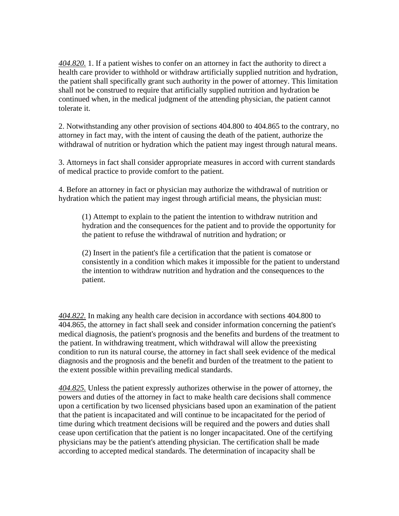*404.820.* 1. If a patient wishes to confer on an attorney in fact the authority to direct a health care provider to withhold or withdraw artificially supplied nutrition and hydration, the patient shall specifically grant such authority in the power of attorney. This limitation shall not be construed to require that artificially supplied nutrition and hydration be continued when, in the medical judgment of the attending physician, the patient cannot tolerate it.

2. Notwithstanding any other provision of sections 404.800 to 404.865 to the contrary, no attorney in fact may, with the intent of causing the death of the patient, authorize the withdrawal of nutrition or hydration which the patient may ingest through natural means.

3. Attorneys in fact shall consider appropriate measures in accord with current standards of medical practice to provide comfort to the patient.

4. Before an attorney in fact or physician may authorize the withdrawal of nutrition or hydration which the patient may ingest through artificial means, the physician must:

(1) Attempt to explain to the patient the intention to withdraw nutrition and hydration and the consequences for the patient and to provide the opportunity for the patient to refuse the withdrawal of nutrition and hydration; or

(2) Insert in the patient's file a certification that the patient is comatose or consistently in a condition which makes it impossible for the patient to understand the intention to withdraw nutrition and hydration and the consequences to the patient.

*404.822.* In making any health care decision in accordance with sections 404.800 to 404.865, the attorney in fact shall seek and consider information concerning the patient's medical diagnosis, the patient's prognosis and the benefits and burdens of the treatment to the patient. In withdrawing treatment, which withdrawal will allow the preexisting condition to run its natural course, the attorney in fact shall seek evidence of the medical diagnosis and the prognosis and the benefit and burden of the treatment to the patient to the extent possible within prevailing medical standards.

*404.825.* Unless the patient expressly authorizes otherwise in the power of attorney, the powers and duties of the attorney in fact to make health care decisions shall commence upon a certification by two licensed physicians based upon an examination of the patient that the patient is incapacitated and will continue to be incapacitated for the period of time during which treatment decisions will be required and the powers and duties shall cease upon certification that the patient is no longer incapacitated. One of the certifying physicians may be the patient's attending physician. The certification shall be made according to accepted medical standards. The determination of incapacity shall be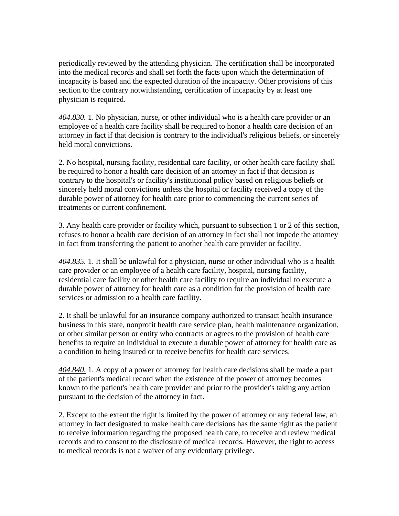periodically reviewed by the attending physician. The certification shall be incorporated into the medical records and shall set forth the facts upon which the determination of incapacity is based and the expected duration of the incapacity. Other provisions of this section to the contrary notwithstanding, certification of incapacity by at least one physician is required.

*404.830.* 1. No physician, nurse, or other individual who is a health care provider or an employee of a health care facility shall be required to honor a health care decision of an attorney in fact if that decision is contrary to the individual's religious beliefs, or sincerely held moral convictions.

2. No hospital, nursing facility, residential care facility, or other health care facility shall be required to honor a health care decision of an attorney in fact if that decision is contrary to the hospital's or facility's institutional policy based on religious beliefs or sincerely held moral convictions unless the hospital or facility received a copy of the durable power of attorney for health care prior to commencing the current series of treatments or current confinement.

3. Any health care provider or facility which, pursuant to subsection 1 or 2 of this section, refuses to honor a health care decision of an attorney in fact shall not impede the attorney in fact from transferring the patient to another health care provider or facility.

*404.835.* 1. It shall be unlawful for a physician, nurse or other individual who is a health care provider or an employee of a health care facility, hospital, nursing facility, residential care facility or other health care facility to require an individual to execute a durable power of attorney for health care as a condition for the provision of health care services or admission to a health care facility.

2. It shall be unlawful for an insurance company authorized to transact health insurance business in this state, nonprofit health care service plan, health maintenance organization, or other similar person or entity who contracts or agrees to the provision of health care benefits to require an individual to execute a durable power of attorney for health care as a condition to being insured or to receive benefits for health care services.

*404.840.* 1. A copy of a power of attorney for health care decisions shall be made a part of the patient's medical record when the existence of the power of attorney becomes known to the patient's health care provider and prior to the provider's taking any action pursuant to the decision of the attorney in fact.

2. Except to the extent the right is limited by the power of attorney or any federal law, an attorney in fact designated to make health care decisions has the same right as the patient to receive information regarding the proposed health care, to receive and review medical records and to consent to the disclosure of medical records. However, the right to access to medical records is not a waiver of any evidentiary privilege.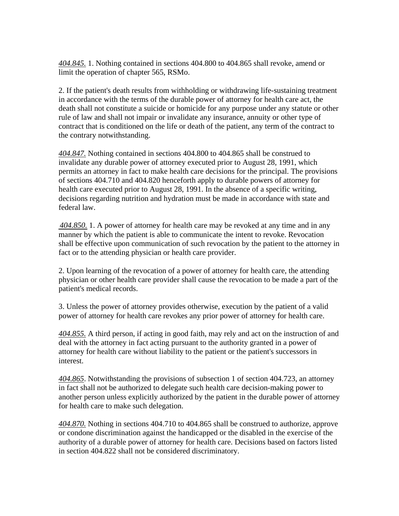*404.845.* 1. Nothing contained in sections 404.800 to 404.865 shall revoke, amend or limit the operation of chapter 565, RSMo.

2. If the patient's death results from withholding or withdrawing life-sustaining treatment in accordance with the terms of the durable power of attorney for health care act, the death shall not constitute a suicide or homicide for any purpose under any statute or other rule of law and shall not impair or invalidate any insurance, annuity or other type of contract that is conditioned on the life or death of the patient, any term of the contract to the contrary notwithstanding.

*404.847.* Nothing contained in sections 404.800 to 404.865 shall be construed to invalidate any durable power of attorney executed prior to August 28, 1991, which permits an attorney in fact to make health care decisions for the principal. The provisions of sections 404.710 and 404.820 henceforth apply to durable powers of attorney for health care executed prior to August 28, 1991. In the absence of a specific writing, decisions regarding nutrition and hydration must be made in accordance with state and federal law.

*404.850.* 1. A power of attorney for health care may be revoked at any time and in any manner by which the patient is able to communicate the intent to revoke. Revocation shall be effective upon communication of such revocation by the patient to the attorney in fact or to the attending physician or health care provider.

2. Upon learning of the revocation of a power of attorney for health care, the attending physician or other health care provider shall cause the revocation to be made a part of the patient's medical records.

3. Unless the power of attorney provides otherwise, execution by the patient of a valid power of attorney for health care revokes any prior power of attorney for health care.

*404.855.* A third person, if acting in good faith, may rely and act on the instruction of and deal with the attorney in fact acting pursuant to the authority granted in a power of attorney for health care without liability to the patient or the patient's successors in interest.

*404.865*. Notwithstanding the provisions of subsection 1 of section 404.723, an attorney in fact shall not be authorized to delegate such health care decision-making power to another person unless explicitly authorized by the patient in the durable power of attorney for health care to make such delegation.

*404.870.* Nothing in sections 404.710 to 404.865 shall be construed to authorize, approve or condone discrimination against the handicapped or the disabled in the exercise of the authority of a durable power of attorney for health care. Decisions based on factors listed in section 404.822 shall not be considered discriminatory.